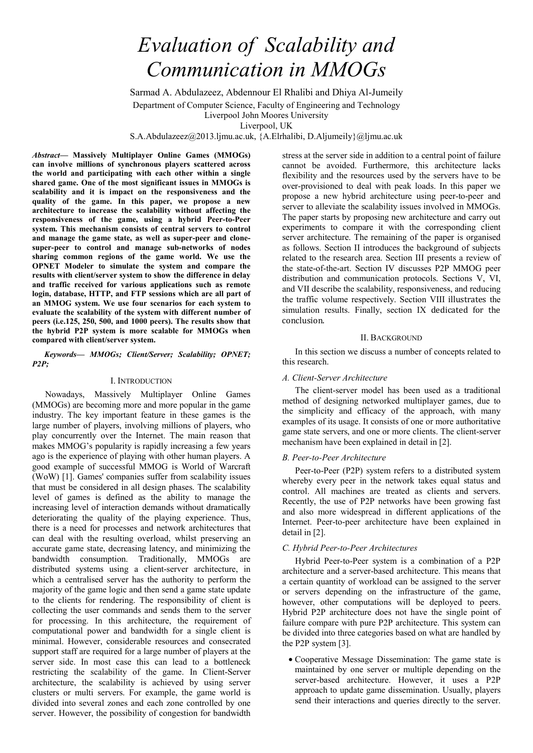# *Evaluation of Scalability and Communication in MMOGs*

Sarmad A. Abdulazeez, Abdennour El Rhalibi and Dhiya Al-Jumeily Department of Computer Science, Faculty of Engineering and Technology Liverpool John Moores University Liverpool, UK

S.A.Abdulazeez@2013.ljmu.ac.uk, {A.Elrhalibi, D.Aljumeily}@ljmu.ac.uk

*Abstract***— Massively Multiplayer Online Games (MMOGs) can involve millions of synchronous players scattered across the world and participating with each other within a single shared game. One of the most significant issues in MMOGs is scalability and it is impact on the responsiveness and the quality of the game. In this paper, we propose a new architecture to increase the scalability without affecting the responsiveness of the game, using a hybrid Peer-to-Peer system. This mechanism consists of central servers to control and manage the game state, as well as super-peer and clonesuper-peer to control and manage sub-networks of nodes sharing common regions of the game world. We use the OPNET Modeler to simulate the system and compare the results with client/server system to show the difference in delay and traffic received for various applications such as remote login, database, HTTP, and FTP sessions which are all part of an MMOG system. We use four scenarios for each system to evaluate the scalability of the system with different number of peers (i.e.125, 250, 500, and 1000 peers). The results show that the hybrid P2P system is more scalable for MMOGs when compared with client/server system.** 

*Keywords— MMOGs; Client/Server; Scalability; OPNET; P2P;* 

## I. INTRODUCTION

Nowadays, Massively Multiplayer Online Games (MMOGs) are becoming more and more popular in the game industry. The key important feature in these games is the large number of players, involving millions of players, who play concurrently over the Internet. The main reason that makes MMOG's popularity is rapidly increasing a few years ago is the experience of playing with other human players. A good example of successful MMOG is World of Warcraft (WoW) [1]. Games' companies suffer from scalability issues that must be considered in all design phases. The scalability level of games is defined as the ability to manage the increasing level of interaction demands without dramatically deteriorating the quality of the playing experience. Thus, there is a need for processes and network architectures that can deal with the resulting overload, whilst preserving an accurate game state, decreasing latency, and minimizing the bandwidth consumption. Traditionally, MMOGs are distributed systems using a client-server architecture, in which a centralised server has the authority to perform the majority of the game logic and then send a game state update to the clients for rendering. The responsibility of client is collecting the user commands and sends them to the server for processing. In this architecture, the requirement of computational power and bandwidth for a single client is minimal. However, considerable resources and consecrated support staff are required for a large number of players at the server side. In most case this can lead to a bottleneck restricting the scalability of the game. In Client-Server architecture, the scalability is achieved by using server clusters or multi servers. For example, the game world is divided into several zones and each zone controlled by one server. However, the possibility of congestion for bandwidth

stress at the server side in addition to a central point of failure cannot be avoided. Furthermore, this architecture lacks flexibility and the resources used by the servers have to be over-provisioned to deal with peak loads. In this paper we propose a new hybrid architecture using peer-to-peer and server to alleviate the scalability issues involved in MMOGs. The paper starts by proposing new architecture and carry out experiments to compare it with the corresponding client server architecture. The remaining of the paper is organised as follows. Section II introduces the background of subjects related to the research area. Section III presents a review of the state-of-the-art. Section IV discusses P2P MMOG peer distribution and communication protocols. Sections V, VI, and VII describe the scalability, responsiveness, and reducing the traffic volume respectively. Section VIII illustrates the simulation results. Finally, section IX dedicated for the conclusion.

## II. BACKGROUND

In this section we discuss a number of concepts related to this research.

# *A. Client-Server Architecture*

The client-server model has been used as a traditional method of designing networked multiplayer games, due to the simplicity and efficacy of the approach, with many examples of its usage. It consists of one or more authoritative game state servers, and one or more clients. The client-server mechanism have been explained in detail in [2].

# *B. Peer-to-Peer Architecture*

Peer-to-Peer (P2P) system refers to a distributed system whereby every peer in the network takes equal status and control. All machines are treated as clients and servers. Recently, the use of P2P networks have been growing fast and also more widespread in different applications of the Internet. Peer-to-peer architecture have been explained in detail in [2].

# *C. Hybrid Peer-to-Peer Architectures*

Hybrid Peer-to-Peer system is a combination of a P2P architecture and a server-based architecture. This means that a certain quantity of workload can be assigned to the server or servers depending on the infrastructure of the game, however, other computations will be deployed to peers. Hybrid P2P architecture does not have the single point of failure compare with pure P2P architecture. This system can be divided into three categories based on what are handled by the P2P system [3].

• Cooperative Message Dissemination: The game state is maintained by one server or multiple depending on the server-based architecture. However, it uses a P2P approach to update game dissemination. Usually, players send their interactions and queries directly to the server.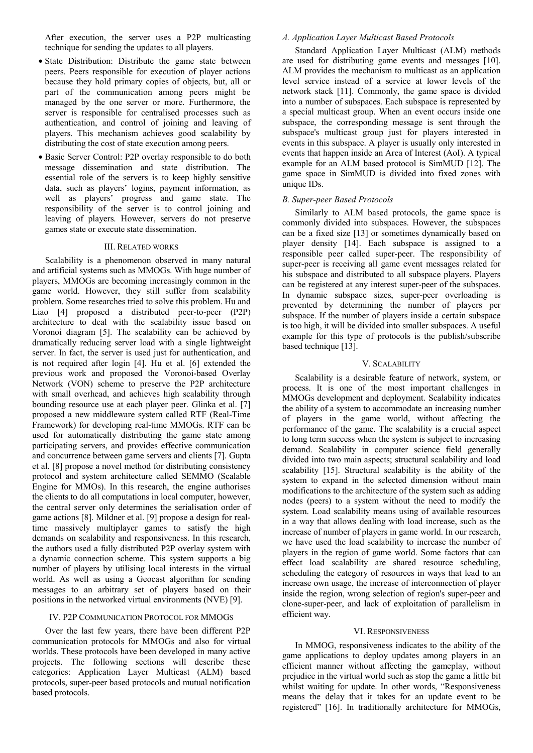After execution, the server uses a P2P multicasting technique for sending the updates to all players.

- State Distribution: Distribute the game state between peers. Peers responsible for execution of player actions because they hold primary copies of objects, but, all or part of the communication among peers might be managed by the one server or more. Furthermore, the server is responsible for centralised processes such as authentication, and control of joining and leaving of players. This mechanism achieves good scalability by distributing the cost of state execution among peers.
- Basic Server Control: P2P overlay responsible to do both message dissemination and state distribution. The essential role of the servers is to keep highly sensitive data, such as players' logins, payment information, as well as players' progress and game state. The responsibility of the server is to control joining and leaving of players. However, servers do not preserve games state or execute state dissemination.

#### III. RELATED WORKS

Scalability is a phenomenon observed in many natural and artificial systems such as MMOGs. With huge number of players, MMOGs are becoming increasingly common in the game world. However, they still suffer from scalability problem. Some researches tried to solve this problem. Hu and Liao [4] proposed a distributed peer-to-peer (P2P) architecture to deal with the scalability issue based on Voronoi diagram [5]. The scalability can be achieved by dramatically reducing server load with a single lightweight server. In fact, the server is used just for authentication, and is not required after login [4]. Hu et al. [6] extended the previous work and proposed the Voronoi-based Overlay Network (VON) scheme to preserve the P2P architecture with small overhead, and achieves high scalability through bounding resource use at each player peer. Glinka et al. [7] proposed a new middleware system called RTF (Real-Time Framework) for developing real-time MMOGs. RTF can be used for automatically distributing the game state among participating servers, and provides effective communication and concurrence between game servers and clients [7]. Gupta et al. [8] propose a novel method for distributing consistency protocol and system architecture called SEMMO (Scalable Engine for MMOs). In this research, the engine authorises the clients to do all computations in local computer, however, the central server only determines the serialisation order of game actions [8]. Mildner et al. [9] propose a design for realtime massively multiplayer games to satisfy the high demands on scalability and responsiveness. In this research, the authors used a fully distributed P2P overlay system with a dynamic connection scheme. This system supports a big number of players by utilising local interests in the virtual world. As well as using a Geocast algorithm for sending messages to an arbitrary set of players based on their positions in the networked virtual environments (NVE) [9].

## IV. P2P COMMUNICATION PROTOCOL FOR MMOGS

Over the last few years, there have been different P2P communication protocols for MMOGs and also for virtual worlds. These protocols have been developed in many active projects. The following sections will describe these categories: Application Layer Multicast (ALM) based protocols, super-peer based protocols and mutual notification based protocols.

## *A. Application Layer Multicast Based Protocols*

Standard Application Layer Multicast (ALM) methods are used for distributing game events and messages [10]. ALM provides the mechanism to multicast as an application level service instead of a service at lower levels of the network stack [11]. Commonly, the game space is divided into a number of subspaces. Each subspace is represented by a special multicast group. When an event occurs inside one subspace, the corresponding message is sent through the subspace's multicast group just for players interested in events in this subspace. A player is usually only interested in events that happen inside an Area of Interest (AoI). A typical example for an ALM based protocol is SimMUD [12]. The game space in SimMUD is divided into fixed zones with unique IDs.

## *B. Super-peer Based Protocols*

Similarly to ALM based protocols, the game space is commonly divided into subspaces. However, the subspaces can be a fixed size [13] or sometimes dynamically based on player density [14]. Each subspace is assigned to a responsible peer called super-peer. The responsibility of super-peer is receiving all game event messages related for his subspace and distributed to all subspace players. Players can be registered at any interest super-peer of the subspaces. In dynamic subspace sizes, super-peer overloading is prevented by determining the number of players per subspace. If the number of players inside a certain subspace is too high, it will be divided into smaller subspaces. A useful example for this type of protocols is the publish/subscribe based technique [13].

#### V. SCALABILITY

Scalability is a desirable feature of network, system, or process. It is one of the most important challenges in MMOGs development and deployment. Scalability indicates the ability of a system to accommodate an increasing number of players in the game world, without affecting the performance of the game. The scalability is a crucial aspect to long term success when the system is subject to increasing demand. Scalability in computer science field generally divided into two main aspects; structural scalability and load scalability [15]. Structural scalability is the ability of the system to expand in the selected dimension without main modifications to the architecture of the system such as adding nodes (peers) to a system without the need to modify the system. Load scalability means using of available resources in a way that allows dealing with load increase, such as the increase of number of players in game world. In our research, we have used the load scalability to increase the number of players in the region of game world. Some factors that can effect load scalability are shared resource scheduling, scheduling the category of resources in ways that lead to an increase own usage, the increase of interconnection of player inside the region, wrong selection of region's super-peer and clone-super-peer, and lack of exploitation of parallelism in efficient way.

#### VI. RESPONSIVENESS

In MMOG, responsiveness indicates to the ability of the game applications to deploy updates among players in an efficient manner without affecting the gameplay, without prejudice in the virtual world such as stop the game a little bit whilst waiting for update. In other words, "Responsiveness" means the delay that it takes for an update event to be registered" [16]. In traditionally architecture for MMOGs,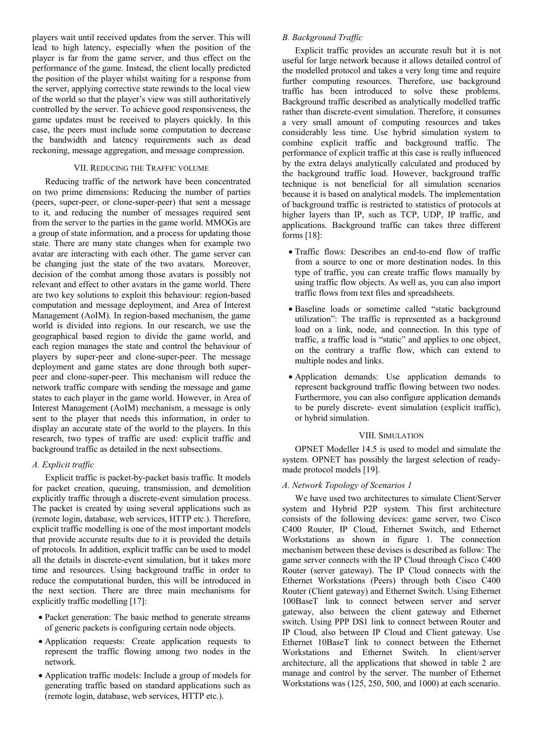players wait until received updates from the server. This will lead to high latency, especially when the position of the player is far from the game server, and thus effect on the performance of the game. Instead, the client locally predicted the position of the player whilst waiting for a response from the server, applying corrective state rewinds to the local view of the world so that the player's view was still authoritatively controlled by the server. To achieve good responsiveness, the game updates must be received to players quickly. In this case, the peers must include some computation to decrease the bandwidth and latency requirements such as dead reckoning, message aggregation, and message compression.

## VII. REDUCING THE TRAFFIC VOLUME

Reducing traffic of the network have been concentrated on two prime dimensions: Reducing the number of parties (peers, super-peer, or clone-super-peer) that sent a message to it, and reducing the number of messages required sent from the server to the parties in the game world. MMOGs are a group of state information, and a process for updating those state. There are many state changes when for example two avatar are interacting with each other. The game server can be changing just the state of the two avatars. Moreover, decision of the combat among those avatars is possibly not relevant and effect to other avatars in the game world. There are two key solutions to exploit this behaviour: region-based computation and message deployment, and Area of Interest Management (AoIM). In region-based mechanism, the game world is divided into regions. In our research, we use the geographical based region to divide the game world, and each region manages the state and control the behaviour of players by super-peer and clone-super-peer. The message deployment and game states are done through both superpeer and clone-super-peer. This mechanism will reduce the network traffic compare with sending the message and game states to each player in the game world. However, in Area of Interest Management (AoIM) mechanism, a message is only sent to the player that needs this information, in order to display an accurate state of the world to the players. In this research, two types of traffic are used: explicit traffic and background traffic as detailed in the next subsections.

# *A. Explicit traffic*

Explicit traffic is packet-by-packet basis traffic. It models for packet creation, queuing, transmission, and demolition explicitly traffic through a discrete-event simulation process. The packet is created by using several applications such as (remote login, database, web services, HTTP etc.). Therefore, explicit traffic modelling is one of the most important models that provide accurate results due to it is provided the details of protocols. In addition, explicit traffic can be used to model all the details in discrete-event simulation, but it takes more time and resources. Using background traffic in order to reduce the computational burden, this will be introduced in the next section. There are three main mechanisms for explicitly traffic modelling [17]:

- Packet generation: The basic method to generate streams of generic packets is configuring certain node objects.
- Application requests: Create application requests to represent the traffic flowing among two nodes in the network.
- Application traffic models: Include a group of models for generating traffic based on standard applications such as (remote login, database, web services, HTTP etc.).

#### *B. Background Traffic*

Explicit traffic provides an accurate result but it is not useful for large network because it allows detailed control of the modelled protocol and takes a very long time and require further computing resources. Therefore, use background traffic has been introduced to solve these problems. Background traffic described as analytically modelled traffic rather than discrete-event simulation. Therefore, it consumes a very small amount of computing resources and takes considerably less time. Use hybrid simulation system to combine explicit traffic and background traffic. The performance of explicit traffic at this case is really influenced by the extra delays analytically calculated and produced by the background traffic load. However, background traffic technique is not beneficial for all simulation scenarios because it is based on analytical models. The implementation of background traffic is restricted to statistics of protocols at higher layers than IP, such as TCP, UDP, IP traffic, and applications. Background traffic can takes three different forms [18]:

- Traffic flows: Describes an end-to-end flow of traffic from a source to one or more destination nodes. In this type of traffic, you can create traffic flows manually by using traffic flow objects. As well as, you can also import traffic flows from text files and spreadsheets.
- Baseline loads or sometime called "static background utilization": The traffic is represented as a background load on a link, node, and connection. In this type of traffic, a traffic load is "static" and applies to one object, on the contrary a traffic flow, which can extend to multiple nodes and links.
- Application demands: Use application demands to represent background traffic flowing between two nodes. Furthermore, you can also configure application demands to be purely discrete- event simulation (explicit traffic), or hybrid simulation.

#### VIII. SIMULATION

OPNET Modeller 14.5 is used to model and simulate the system. OPNET has possibly the largest selection of readymade protocol models [19].

## *A. Network Topology of Scenarios 1*

We have used two architectures to simulate Client/Server system and Hybrid P2P system. This first architecture consists of the following devices: game server, two Cisco C400 Router, IP Cloud, Ethernet Switch, and Ethernet Workstations as shown in figure 1. The connection mechanism between these devises is described as follow: The game server connects with the IP Cloud through Cisco C400 Router (server gateway). The IP Cloud connects with the Ethernet Workstations (Peers) through both Cisco C400 Router (Client gateway) and Ethernet Switch. Using Ethernet 100BaseT link to connect between server and server gateway, also between the client gateway and Ethernet switch. Using PPP DS1 link to connect between Router and IP Cloud, also between IP Cloud and Client gateway. Use Ethernet 10BaseT link to connect between the Ethernet Workstations and Ethernet Switch. In client/server architecture, all the applications that showed in table 2 are manage and control by the server. The number of Ethernet Workstations was (125, 250, 500, and 1000) at each scenario.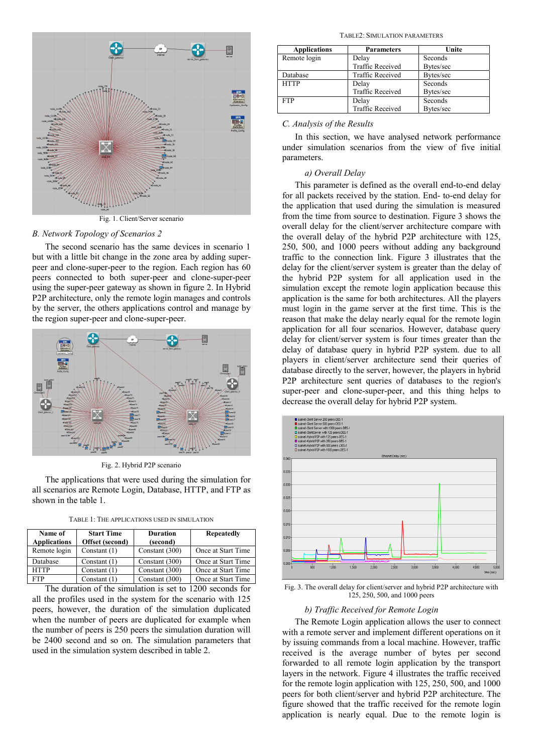

Fig. 1. Client/Server scenario

#### *B. Network Topology of Scenarios 2*

The second scenario has the same devices in scenario 1 but with a little bit change in the zone area by adding superpeer and clone-super-peer to the region. Each region has 60 peers connected to both super-peer and clone-super-peer using the super-peer gateway as shown in figure 2. In Hybrid P2P architecture, only the remote login manages and controls by the server, the others applications control and manage by the region super-peer and clone-super-peer.



Fig. 2. Hybrid P2P scenario

The applications that were used during the simulation for all scenarios are Remote Login, Database, HTTP, and FTP as shown in the table 1.

TABLE 1: THE APPLICATIONS USED IN SIMULATION

| Name of<br><b>Applications</b> | <b>Start Time</b><br>Offset (second) | <b>Duration</b><br>(second) | <b>Repeatedly</b>  |
|--------------------------------|--------------------------------------|-----------------------------|--------------------|
| Remote login                   | Constant $(1)$                       | Constant (300)              | Once at Start Time |
| Database                       | Constant (1)                         | Constant (300)              | Once at Start Time |
| <b>HTTP</b>                    | Constant $(1)$                       | Constant (300)              | Once at Start Time |
| <b>FTP</b>                     | Constant (1)                         | Constant (300)              | Once at Start Time |

 The duration of the simulation is set to 1200 seconds for all the profiles used in the system for the scenario with 125 peers, however, the duration of the simulation duplicated when the number of peers are duplicated for example when the number of peers is 250 peers the simulation duration will be 2400 second and so on. The simulation parameters that used in the simulation system described in table 2.

#### TABLE2: SIMULATION PARAMETERS

| <b>Applications</b> | <b>Parameters</b>       | Unite     |
|---------------------|-------------------------|-----------|
| Remote login        | Delay                   | Seconds   |
|                     | Traffic Received        | Bytes/sec |
| Database            | Traffic Received        | Bytes/sec |
| <b>HTTP</b>         | Delay                   | Seconds   |
|                     | <b>Traffic Received</b> | Bytes/sec |
| <b>FTP</b>          | Delay                   | Seconds   |
|                     | Traffic Received        | Bytes/sec |

#### *C. Analysis of the Results*

In this section, we have analysed network performance under simulation scenarios from the view of five initial parameters.

#### *a) Overall Delay*

This parameter is defined as the overall end-to-end delay for all packets received by the station. End- to-end delay for the application that used during the simulation is measured from the time from source to destination. Figure 3 shows the overall delay for the client/server architecture compare with the overall delay of the hybrid P2P architecture with 125, 250, 500, and 1000 peers without adding any background traffic to the connection link. Figure 3 illustrates that the delay for the client/server system is greater than the delay of the hybrid P2P system for all application used in the simulation except the remote login application because this application is the same for both architectures. All the players must login in the game server at the first time. This is the reason that make the delay nearly equal for the remote login application for all four scenarios. However, database query delay for client/server system is four times greater than the delay of database query in hybrid P2P system. due to all players in client/server architecture send their queries of database directly to the server, however, the players in hybrid P2P architecture sent queries of databases to the region's super-peer and clone-super-peer, and this thing helps to decrease the overall delay for hybrid P2P system.



Fig. 3. The overall delay for client/server and hybrid P2P architecture with 125, 250, 500, and 1000 peers

## *b) Traffic Received for Remote Login*

The Remote Login application allows the user to connect with a remote server and implement different operations on it by issuing commands from a local machine. However, traffic received is the average number of bytes per second forwarded to all remote login application by the transport layers in the network. Figure 4 illustrates the traffic received for the remote login application with 125, 250, 500, and 1000 peers for both client/server and hybrid P2P architecture. The figure showed that the traffic received for the remote login application is nearly equal. Due to the remote login is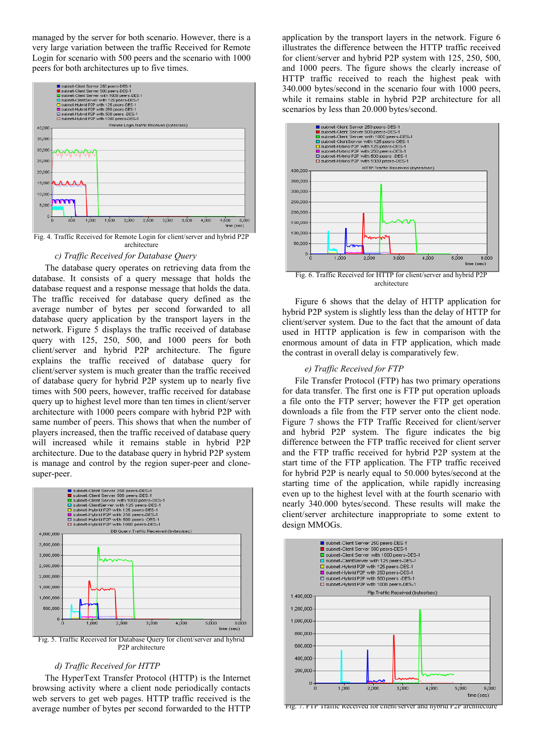managed by the server for both scenario. However, there is a very large variation between the traffic Received for Remote Login for scenario with 500 peers and the scenario with 1000 peers for both architectures up to five times.



Fig. 4. Traffic Received for Remote Login for client/server and hybrid P2P architecture

## *c) Traffic Received for Database Query*

The database query operates on retrieving data from the database. It consists of a query message that holds the database request and a response message that holds the data. The traffic received for database query defined as the average number of bytes per second forwarded to all database query application by the transport layers in the network. Figure 5 displays the traffic received of database query with 125, 250, 500, and 1000 peers for both client/server and hybrid P2P architecture. The figure explains the traffic received of database query for client/server system is much greater than the traffic received of database query for hybrid P2P system up to nearly five times with 500 peers, however, traffic received for database query up to highest level more than ten times in client/server architecture with 1000 peers compare with hybrid P2P with same number of peers. This shows that when the number of players increased, then the traffic received of database query will increased while it remains stable in hybrid P2P architecture. Due to the database query in hybrid P2P system is manage and control by the region super-peer and clonesuper-peer.



Fig. 5. Traffic Received for Database Query for client/server and hybrid P2P architecture

#### *d) Traffic Received for HTTP*

The HyperText Transfer Protocol (HTTP) is the Internet browsing activity where a client node periodically contacts web servers to get web pages. HTTP traffic received is the average number of bytes per second forwarded to the HTTP

application by the transport layers in the network. Figure 6 illustrates the difference between the HTTP traffic received for client/server and hybrid P2P system with 125, 250, 500, and 1000 peers. The figure shows the clearly increase of HTTP traffic received to reach the highest peak with 340.000 bytes/second in the scenario four with 1000 peers, while it remains stable in hybrid P2P architecture for all scenarios by less than 20.000 bytes/second.



Fig. 6. Traffic Received for HTTP for client/server and hybrid P2P architecture

Figure 6 shows that the delay of HTTP application for hybrid P2P system is slightly less than the delay of HTTP for client/server system. Due to the fact that the amount of data used in HTTP application is few in comparison with the enormous amount of data in FTP application, which made the contrast in overall delay is comparatively few.

#### *e) Traffic Received for FTP*

File Transfer Protocol (FTP) has two primary operations for data transfer. The first one is FTP put operation uploads a file onto the FTP server; however the FTP get operation downloads a file from the FTP server onto the client node. Figure 7 shows the FTP Traffic Received for client/server and hybrid P2P system. The figure indicates the big difference between the FTP traffic received for client server and the FTP traffic received for hybrid P2P system at the start time of the FTP application. The FTP traffic received for hybrid P2P is nearly equal to 50.000 bytes/second at the starting time of the application, while rapidly increasing even up to the highest level with at the fourth scenario with nearly 340.000 bytes/second. These results will make the client/server architecture inappropriate to some extent to design MMOGs.



Fig. 7. FTP Traffic Received for client/server and hybrid P2P architecture